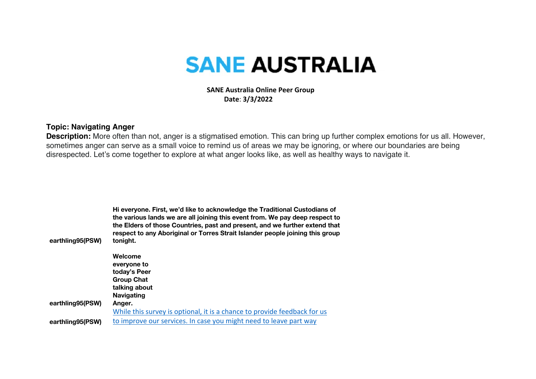## **SANE AUSTRALIA**

 **SANE Australia Online Peer Group Date**: **3/3/2022**

## **Topic: Navigating Anger**

**Description:** More often than not, anger is a stigmatised emotion. This can bring up further complex emotions for us all. However, sometimes anger can serve as a small voice to remind us of areas we may be ignoring, or where our boundaries are being disrespected. Let's come together to explore at what anger looks like, as well as healthy ways to navigate it.

| earthling95(PSW) | Hi everyone. First, we'd like to acknowledge the Traditional Custodians of<br>the various lands we are all joining this event from. We pay deep respect to<br>the Elders of those Countries, past and present, and we further extend that<br>respect to any Aboriginal or Torres Strait Islander people joining this group<br>tonight. |  |
|------------------|----------------------------------------------------------------------------------------------------------------------------------------------------------------------------------------------------------------------------------------------------------------------------------------------------------------------------------------|--|
|                  | Welcome                                                                                                                                                                                                                                                                                                                                |  |
|                  | everyone to                                                                                                                                                                                                                                                                                                                            |  |
|                  | today's Peer                                                                                                                                                                                                                                                                                                                           |  |
|                  | <b>Group Chat</b>                                                                                                                                                                                                                                                                                                                      |  |
|                  | talking about                                                                                                                                                                                                                                                                                                                          |  |
|                  | <b>Navigating</b>                                                                                                                                                                                                                                                                                                                      |  |
| earthling95(PSW) | Anger.                                                                                                                                                                                                                                                                                                                                 |  |
|                  | While this survey is optional, it is a chance to provide feedback for us                                                                                                                                                                                                                                                               |  |
| earthling95(PSW) | to improve our services. In case you might need to leave part way                                                                                                                                                                                                                                                                      |  |
|                  |                                                                                                                                                                                                                                                                                                                                        |  |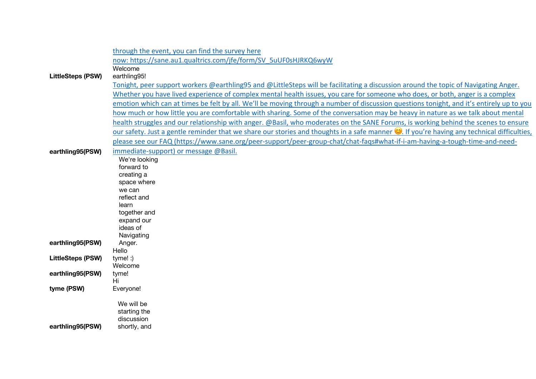|                          | through the event, you can find the survey here                                                                                              |
|--------------------------|----------------------------------------------------------------------------------------------------------------------------------------------|
|                          | now: https://sane.au1.qualtrics.com/jfe/form/SV 5uUF0sHJRKQ6wyW                                                                              |
|                          | Welcome                                                                                                                                      |
| <b>LittleSteps (PSW)</b> | earthling95!                                                                                                                                 |
|                          | Tonight, peer support workers @earthling95 and @LittleSteps will be facilitating a discussion around the topic of Navigating Anger.          |
|                          | Whether you have lived experience of complex mental health issues, you care for someone who does, or both, anger is a complex                |
|                          | emotion which can at times be felt by all. We'll be moving through a number of discussion questions tonight, and it's entirely up to you     |
|                          | how much or how little you are comfortable with sharing. Some of the conversation may be heavy in nature as we talk about mental             |
|                          | health struggles and our relationship with anger. @Basil, who moderates on the SANE Forums, is working behind the scenes to ensure           |
|                          | our safety. Just a gentle reminder that we share our stories and thoughts in a safe manner (C). If you're having any technical difficulties, |
|                          | please see our FAQ (https://www.sane.org/peer-support/peer-group-chat/chat-faqs#what-if-i-am-having-a-tough-time-and-need-                   |
| earthling95(PSW)         | immediate-support) or message @Basil.                                                                                                        |
|                          | We're looking                                                                                                                                |
|                          | forward to<br>creating a                                                                                                                     |
|                          | space where                                                                                                                                  |
|                          | we can                                                                                                                                       |
|                          | reflect and                                                                                                                                  |
|                          | learn                                                                                                                                        |
|                          | together and                                                                                                                                 |
|                          | expand our                                                                                                                                   |
|                          | ideas of<br>Navigating                                                                                                                       |
| earthling95(PSW)         | Anger.                                                                                                                                       |
|                          | Hello                                                                                                                                        |
| <b>LittleSteps (PSW)</b> | $t$ yme! $:$ )                                                                                                                               |
|                          | Welcome                                                                                                                                      |
| earthling95(PSW)         | tyme!                                                                                                                                        |
| tyme (PSW)               | Hi<br>Everyone!                                                                                                                              |
|                          |                                                                                                                                              |
|                          | We will be                                                                                                                                   |
|                          | starting the                                                                                                                                 |
|                          | discussion                                                                                                                                   |
| earthling95(PSW)         | shortly, and                                                                                                                                 |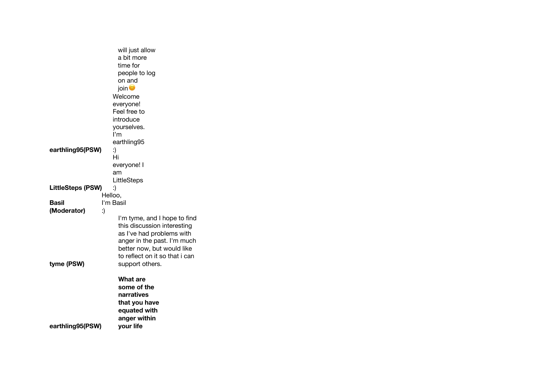|                          | will just allow                                              |
|--------------------------|--------------------------------------------------------------|
|                          | a bit more                                                   |
|                          | time for                                                     |
|                          | people to log                                                |
|                          | on and                                                       |
|                          | join <sup>o</sup>                                            |
|                          | Welcome                                                      |
|                          | everyone!                                                    |
|                          | Feel free to                                                 |
|                          | introduce                                                    |
|                          | yourselves.                                                  |
|                          | l'm                                                          |
|                          | earthling95                                                  |
| earthling95(PSW)         | :)                                                           |
|                          | Hi                                                           |
|                          | everyone! I                                                  |
|                          | am                                                           |
|                          | LittleSteps                                                  |
| <b>LittleSteps (PSW)</b> | :)                                                           |
| Helloo,                  |                                                              |
| Basil                    | I'm Basil                                                    |
| (Moderator)<br>:)        |                                                              |
|                          | I'm tyme, and I hope to find                                 |
|                          | this discussion interesting                                  |
|                          | as I've had problems with                                    |
|                          | anger in the past. I'm much                                  |
|                          | better now, but would like<br>to reflect on it so that i can |
|                          |                                                              |
| tyme (PSW)               | support others.                                              |
|                          | <b>What are</b>                                              |
|                          | some of the                                                  |
|                          | narratives                                                   |
|                          | that you have                                                |
|                          | equated with                                                 |
|                          | anger within                                                 |
| earthling95(PSW)         | your life                                                    |
|                          |                                                              |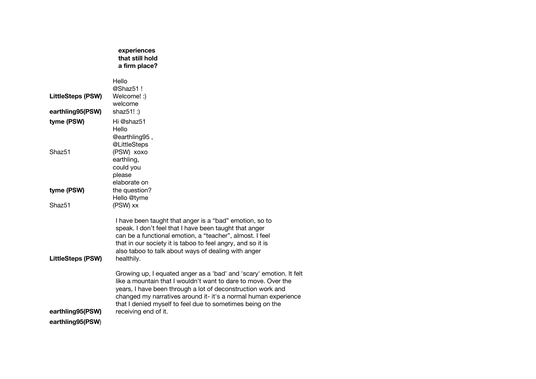|                                      | experiences<br>that still hold<br>a firm place?                                                                                                                                                                                                                                                                                                               |
|--------------------------------------|---------------------------------------------------------------------------------------------------------------------------------------------------------------------------------------------------------------------------------------------------------------------------------------------------------------------------------------------------------------|
| <b>LittleSteps (PSW)</b>             | Hello<br>@Shaz51 !<br>Welcome! :)<br>welcome                                                                                                                                                                                                                                                                                                                  |
| earthling95(PSW)                     | shaz51! :)                                                                                                                                                                                                                                                                                                                                                    |
| tyme (PSW)                           | Hi @shaz51                                                                                                                                                                                                                                                                                                                                                    |
| Shaz <sub>51</sub>                   | Hello<br>@earthling95,<br>@LittleSteps<br>(PSW) xoxo<br>earthling,<br>could you<br>please                                                                                                                                                                                                                                                                     |
|                                      | elaborate on                                                                                                                                                                                                                                                                                                                                                  |
| tyme (PSW)                           | the question?                                                                                                                                                                                                                                                                                                                                                 |
| Shaz <sub>51</sub>                   | Hello @tyme<br>(PSW) xx                                                                                                                                                                                                                                                                                                                                       |
| <b>LittleSteps (PSW)</b>             | I have been taught that anger is a "bad" emotion, so to<br>speak. I don't feel that I have been taught that anger<br>can be a functional emotion, a "teacher", almost. I feel<br>that in our society it is taboo to feel angry, and so it is<br>also taboo to talk about ways of dealing with anger<br>healthily.                                             |
| earthling95(PSW)<br>earthling95(PSW) | Growing up, I equated anger as a 'bad' and 'scary' emotion. It felt<br>like a mountain that I wouldn't want to dare to move. Over the<br>years, I have been through a lot of deconstruction work and<br>changed my narratives around it- it's a normal human experience<br>that I denied myself to feel due to sometimes being on the<br>receiving end of it. |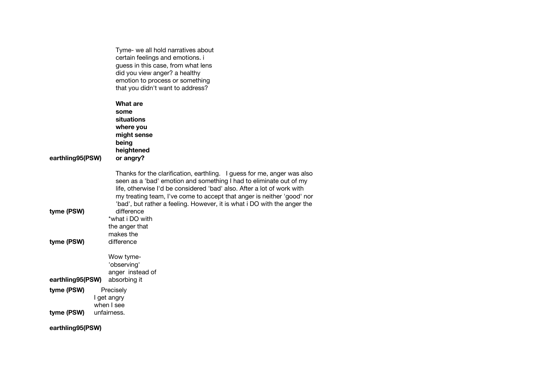|                          | Tyme- we all hold narratives about<br>certain feelings and emotions. i<br>guess in this case, from what lens<br>did you view anger? a healthy<br>emotion to process or something<br>that you didn't want to address?                                                                                                                                                                                                                                        |
|--------------------------|-------------------------------------------------------------------------------------------------------------------------------------------------------------------------------------------------------------------------------------------------------------------------------------------------------------------------------------------------------------------------------------------------------------------------------------------------------------|
| earthling95(PSW)         | <b>What are</b><br>some<br>situations<br>where you<br>might sense<br>being<br>heightened<br>or angry?                                                                                                                                                                                                                                                                                                                                                       |
| tyme (PSW)<br>tyme (PSW) | Thanks for the clarification, earthling. I guess for me, anger was also<br>seen as a 'bad' emotion and something I had to eliminate out of my<br>life, otherwise I'd be considered 'bad' also. After a lot of work with<br>my treating team, I've come to accept that anger is neither 'good' nor<br>'bad', but rather a feeling. However, it is what i DO with the anger the<br>difference<br>*what i DO with<br>the anger that<br>makes the<br>difference |
| earthling95(PSW)         | Wow tyme-<br>'observing'<br>anger instead of<br>absorbing it                                                                                                                                                                                                                                                                                                                                                                                                |
| tyme (PSW)               | Precisely<br>I get angry<br>when I see                                                                                                                                                                                                                                                                                                                                                                                                                      |
| tyme (PSW)               | unfairness.                                                                                                                                                                                                                                                                                                                                                                                                                                                 |

**earthling95(PSW)**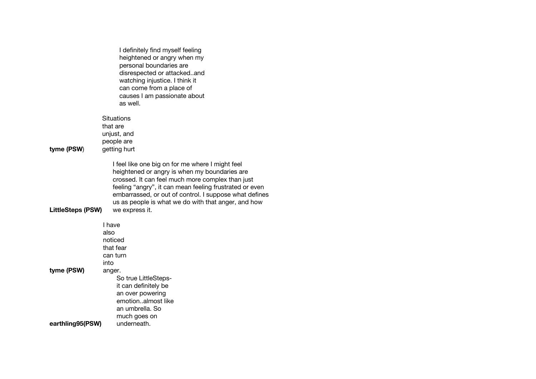|                          | I definitely find myself feeling<br>heightened or angry when my<br>personal boundaries are<br>disrespected or attackedand<br>watching injustice. I think it<br>can come from a place of<br>causes I am passionate about<br>as well.                                                                                                                 |
|--------------------------|-----------------------------------------------------------------------------------------------------------------------------------------------------------------------------------------------------------------------------------------------------------------------------------------------------------------------------------------------------|
| tyme (PSW)               | Situations<br>that are<br>unjust, and<br>people are<br>getting hurt                                                                                                                                                                                                                                                                                 |
| <b>LittleSteps (PSW)</b> | I feel like one big on for me where I might feel<br>heightened or angry is when my boundaries are<br>crossed. It can feel much more complex than just<br>feeling "angry", it can mean feeling frustrated or even<br>embarrassed, or out of control. I suppose what defines<br>us as people is what we do with that anger, and how<br>we express it. |
| tyme (PSW)               | I have<br>also<br>noticed<br>that fear<br>can turn<br>into<br>anger.<br>So true LittleSteps-<br>it can definitely be<br>an over powering<br>emotionalmost like                                                                                                                                                                                      |
| earthling95(PSW)         | an umbrella. So<br>much goes on<br>underneath.                                                                                                                                                                                                                                                                                                      |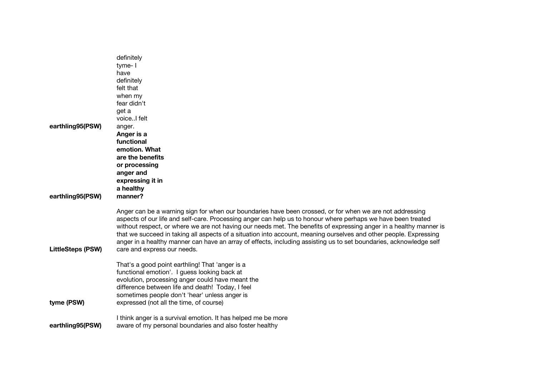| earthling95(PSW)<br>earthling95(PSW) | definitely<br>tyme-I<br>have<br>definitely<br>felt that<br>when my<br>fear didn't<br>get a<br>voice I felt<br>anger.<br>Anger is a<br>functional<br>emotion. What<br>are the benefits<br>or processing<br>anger and<br>expressing it in<br>a healthy<br>manner?                                                                                                                                                                                                                                                                                                                                                          |
|--------------------------------------|--------------------------------------------------------------------------------------------------------------------------------------------------------------------------------------------------------------------------------------------------------------------------------------------------------------------------------------------------------------------------------------------------------------------------------------------------------------------------------------------------------------------------------------------------------------------------------------------------------------------------|
| <b>LittleSteps (PSW)</b>             | Anger can be a warning sign for when our boundaries have been crossed, or for when we are not addressing<br>aspects of our life and self-care. Processing anger can help us to honour where perhaps we have been treated<br>without respect, or where we are not having our needs met. The benefits of expressing anger in a healthy manner is<br>that we succeed in taking all aspects of a situation into account, meaning ourselves and other people. Expressing<br>anger in a healthy manner can have an array of effects, including assisting us to set boundaries, acknowledge self<br>care and express our needs. |
| tyme (PSW)                           | That's a good point earthling! That 'anger is a<br>functional emotion'. I guess looking back at<br>evolution, processing anger could have meant the<br>difference between life and death! Today, I feel<br>sometimes people don't 'hear' unless anger is<br>expressed (not all the time, of course)                                                                                                                                                                                                                                                                                                                      |
| earthling95(PSW)                     | I think anger is a survival emotion. It has helped me be more<br>aware of my personal boundaries and also foster healthy                                                                                                                                                                                                                                                                                                                                                                                                                                                                                                 |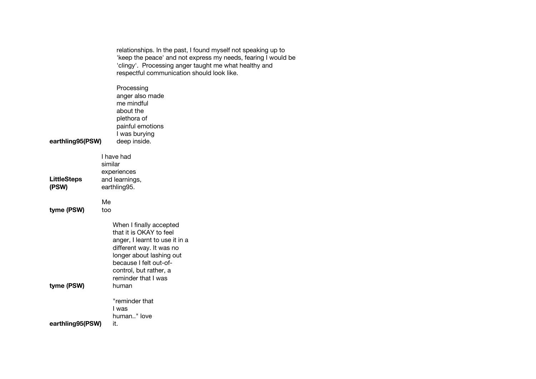|                             | relationships. In the past, I found myself not speaking up to<br>'keep the peace' and not express my needs, fearing I would be<br>'clingy'. Processing anger taught me what healthy and<br>respectful communication should look like.<br>Processing<br>anger also made<br>me mindful<br>about the<br>plethora of<br>painful emotions<br>I was burying |  |
|-----------------------------|-------------------------------------------------------------------------------------------------------------------------------------------------------------------------------------------------------------------------------------------------------------------------------------------------------------------------------------------------------|--|
| earthling95(PSW)            | deep inside.                                                                                                                                                                                                                                                                                                                                          |  |
| <b>LittleSteps</b><br>(PSW) | I have had<br>similar<br>experiences<br>and learnings,<br>earthling95.                                                                                                                                                                                                                                                                                |  |
| tyme (PSW)                  | Me<br>too                                                                                                                                                                                                                                                                                                                                             |  |
| tyme (PSW)                  | When I finally accepted<br>that it is OKAY to feel<br>anger, I learnt to use it in a<br>different way. It was no<br>longer about lashing out<br>because I felt out-of-<br>control, but rather, a<br>reminder that I was<br>human                                                                                                                      |  |
| earthling95(PSW)            | "reminder that<br>l was<br>human" love<br>it.                                                                                                                                                                                                                                                                                                         |  |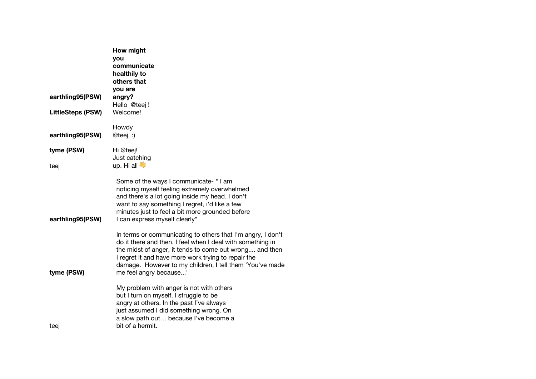| earthling95(PSW)         | How might<br>you<br>communicate<br>healthily to<br>others that<br>you are<br>angry?                                                                                                                                                                                                                                               |
|--------------------------|-----------------------------------------------------------------------------------------------------------------------------------------------------------------------------------------------------------------------------------------------------------------------------------------------------------------------------------|
| <b>LittleSteps (PSW)</b> | Hello @teej!<br>Welcome!                                                                                                                                                                                                                                                                                                          |
| earthling95(PSW)         | Howdy<br>@teej :)                                                                                                                                                                                                                                                                                                                 |
| tyme (PSW)               | Hi @teej!                                                                                                                                                                                                                                                                                                                         |
| teej                     | Just catching<br>up. Hi all                                                                                                                                                                                                                                                                                                       |
| earthling95(PSW)         | Some of the ways I communicate- "I am<br>noticing myself feeling extremely overwhelmed<br>and there's a lot going inside my head. I don't<br>want to say something I regret, i'd like a few<br>minutes just to feel a bit more grounded before<br>I can express myself clearly"                                                   |
| tyme (PSW)               | In terms or communicating to others that I'm angry, I don't<br>do it there and then. I feel when I deal with something in<br>the midst of anger, it tends to come out wrong and then<br>I regret it and have more work trying to repair the<br>damage. However to my children, I tell them 'You've made<br>me feel angry because' |
| teej                     | My problem with anger is not with others<br>but I turn on myself. I struggle to be<br>angry at others. In the past I've always<br>just assumed I did something wrong. On<br>a slow path out because I've become a<br>bit of a hermit.                                                                                             |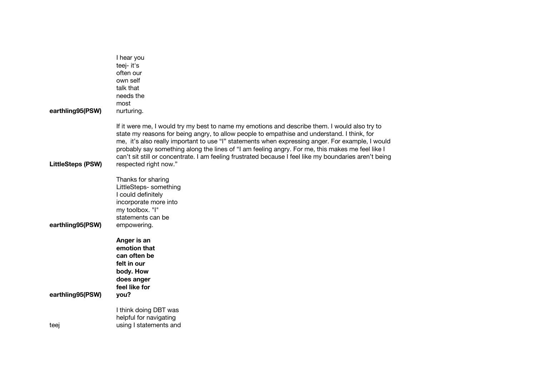| earthling95(PSW)         | I hear you<br>teej- it's<br>often our<br>own self<br>talk that<br>needs the<br>most<br>nurturing.                                                                                                                                                                                                                                                                                                                                                                                                                                       |
|--------------------------|-----------------------------------------------------------------------------------------------------------------------------------------------------------------------------------------------------------------------------------------------------------------------------------------------------------------------------------------------------------------------------------------------------------------------------------------------------------------------------------------------------------------------------------------|
| <b>LittleSteps (PSW)</b> | If it were me, I would try my best to name my emotions and describe them. I would also try to<br>state my reasons for being angry, to allow people to empathise and understand. I think, for<br>me, it's also really important to use "I" statements when expressing anger. For example, I would<br>probably say something along the lines of "I am feeling angry. For me, this makes me feel like I<br>can't sit still or concentrate. I am feeling frustrated because I feel like my boundaries aren't being<br>respected right now." |
| earthling95(PSW)         | Thanks for sharing<br>LittleSteps- something<br>I could definitely<br>incorporate more into<br>my toolbox. "I"<br>statements can be<br>empowering.                                                                                                                                                                                                                                                                                                                                                                                      |
| earthling95(PSW)         | Anger is an<br>emotion that<br>can often be<br>felt in our<br>body. How<br>does anger<br>feel like for<br>you?                                                                                                                                                                                                                                                                                                                                                                                                                          |
| teej                     | I think doing DBT was<br>helpful for navigating<br>using I statements and                                                                                                                                                                                                                                                                                                                                                                                                                                                               |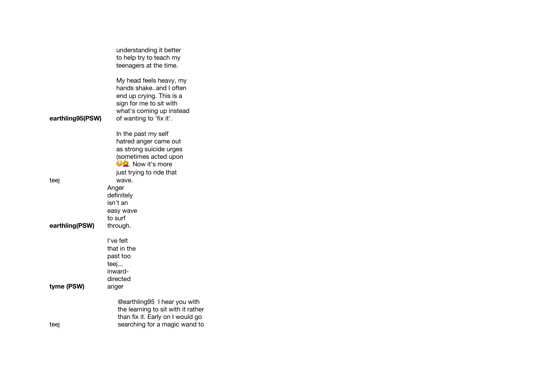|                  | understanding it better<br>to help try to teach my                                                                                                              |
|------------------|-----------------------------------------------------------------------------------------------------------------------------------------------------------------|
|                  | teenagers at the time.                                                                                                                                          |
| earthling95(PSW) | My head feels heavy, my<br>hands shakeand I often<br>end up crying. This is a<br>sign for me to sit with<br>what's coming up instead<br>of wanting to 'fix it'. |
|                  | In the past my self                                                                                                                                             |
|                  | hatred anger came out                                                                                                                                           |
|                  | as strong suicide urges                                                                                                                                         |
|                  | (sometimes acted upon                                                                                                                                           |
|                  | <b>OQ</b> . Now it's more                                                                                                                                       |
| teej             | just trying to ride that<br>wave.                                                                                                                               |
|                  | Anger                                                                                                                                                           |
|                  | definitely                                                                                                                                                      |
|                  | isn't an                                                                                                                                                        |
|                  | easy wave                                                                                                                                                       |
|                  | to surf                                                                                                                                                         |
| earthling(PSW)   | through.                                                                                                                                                        |
|                  | I've felt                                                                                                                                                       |
|                  | that in the                                                                                                                                                     |
|                  | past too                                                                                                                                                        |
|                  | teej                                                                                                                                                            |
|                  | inward-                                                                                                                                                         |
|                  | directed                                                                                                                                                        |
| tyme (PSW)       | anger                                                                                                                                                           |
|                  | @earthling95 I hear you with<br>the learning to sit with it rather<br>than fix it. Early on I would go                                                          |
| teej             | searching for a magic wand to                                                                                                                                   |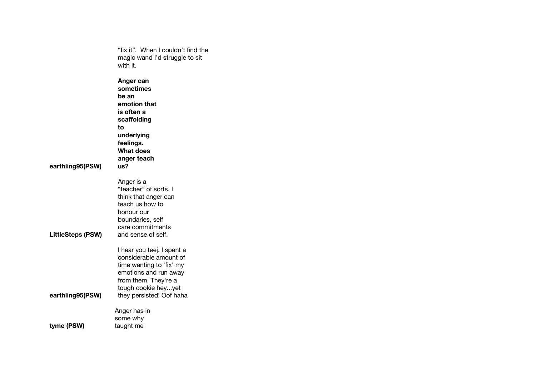|                          | "fix it". When I couldn't find the<br>magic wand I'd struggle to sit<br>with it.                                                                                                     |
|--------------------------|--------------------------------------------------------------------------------------------------------------------------------------------------------------------------------------|
| earthling95(PSW)         | Anger can<br>sometimes<br>be an<br>emotion that<br>is often a<br>scaffolding<br>tο<br>underlying<br>feelings.<br><b>What does</b><br>anger teach<br>us?                              |
| <b>LittleSteps (PSW)</b> | Anger is a<br>"teacher" of sorts. I<br>think that anger can<br>teach us how to<br>honour our<br>boundaries, self<br>care commitments<br>and sense of self.                           |
| earthling95(PSW)         | I hear you teej. I spent a<br>considerable amount of<br>time wanting to 'fix' my<br>emotions and run away<br>from them. They're a<br>tough cookie heyyet<br>they persisted! Oof haha |
| tyme (PSW)               | Anger has in<br>some why<br>taught me                                                                                                                                                |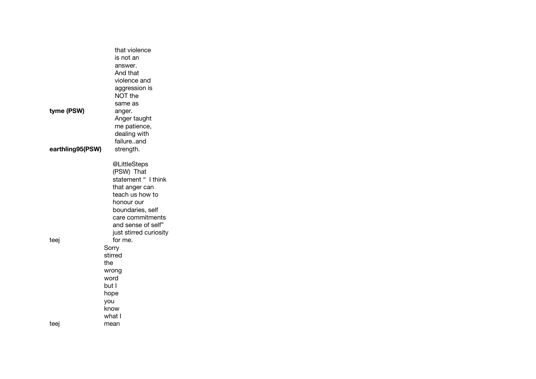|                  | that violence          |
|------------------|------------------------|
|                  | is not an              |
|                  | answer.                |
|                  | And that               |
|                  | violence and           |
|                  | aggression is          |
|                  | NOT the                |
|                  | same as                |
| tyme (PSW)       | anger.                 |
|                  | Anger taught           |
|                  | me patience,           |
|                  | dealing with           |
|                  | failureand             |
| earthling95(PSW) | strength.              |
|                  | @LittleSteps           |
|                  | (PSW) That             |
|                  | statement " I think    |
|                  | that anger can         |
|                  | teach us how to        |
|                  | honour our             |
|                  | boundaries, self       |
|                  | care commitments       |
|                  | and sense of self"     |
|                  | just stirred curiosity |
| teej             | for me.                |
|                  | Sorry                  |
|                  | stirred<br>the         |
|                  |                        |
|                  | wrong<br>word          |
|                  | but I                  |
|                  | hope                   |
|                  | you                    |
|                  | know                   |
|                  | what I                 |
| teej             | mean                   |
|                  |                        |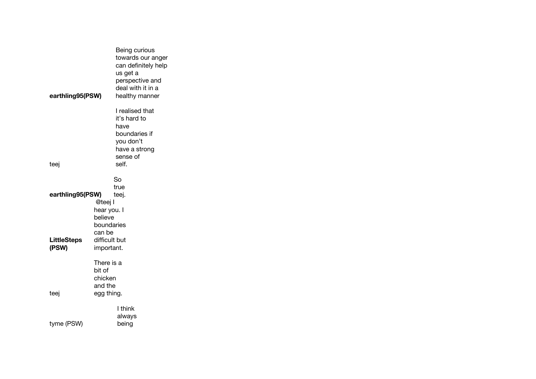| earthling95(PSW)   |               | Being curious<br>towards our anger<br>can definitely help<br>us get a<br>perspective and<br>deal with it in a<br>healthy manner<br>I realised that |
|--------------------|---------------|----------------------------------------------------------------------------------------------------------------------------------------------------|
|                    |               | it's hard to                                                                                                                                       |
|                    |               | have                                                                                                                                               |
|                    |               | boundaries if                                                                                                                                      |
|                    |               | you don't                                                                                                                                          |
|                    |               | have a strong<br>sense of                                                                                                                          |
| teej               |               | self.                                                                                                                                              |
|                    |               |                                                                                                                                                    |
|                    |               | So                                                                                                                                                 |
|                    |               | true                                                                                                                                               |
| earthling95(PSW)   | @teej l       | teej.                                                                                                                                              |
|                    | hear you. I   |                                                                                                                                                    |
|                    | believe       |                                                                                                                                                    |
|                    | boundaries    |                                                                                                                                                    |
|                    | can be        |                                                                                                                                                    |
| <b>LittleSteps</b> | difficult but |                                                                                                                                                    |
| (PSW)              | important.    |                                                                                                                                                    |
|                    | There is a    |                                                                                                                                                    |
|                    | bit of        |                                                                                                                                                    |
|                    | chicken       |                                                                                                                                                    |
|                    | and the       |                                                                                                                                                    |
| teej               | egg thing.    |                                                                                                                                                    |
|                    |               | l think                                                                                                                                            |
|                    |               | always                                                                                                                                             |
| tyme (PSW)         |               | being                                                                                                                                              |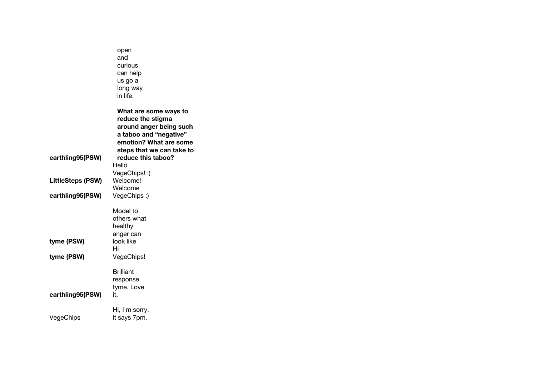|                          | open<br>and<br>curious<br>can help<br>us go a<br>long way<br>in life.                                                                                  |
|--------------------------|--------------------------------------------------------------------------------------------------------------------------------------------------------|
|                          | What are some ways to<br>reduce the stigma<br>around anger being such<br>a taboo and "negative"<br>emotion? What are some<br>steps that we can take to |
| earthling95(PSW)         | reduce this taboo?<br>Hello                                                                                                                            |
| <b>LittleSteps (PSW)</b> | VegeChips! :)<br>Welcome!<br>Welcome                                                                                                                   |
| earthling95(PSW)         | VegeChips:)                                                                                                                                            |
| tyme (PSW)               | Model to<br>others what<br>healthy<br>anger can<br>look like<br>Hi                                                                                     |
| tyme (PSW)               | VegeChips!                                                                                                                                             |
| earthling95(PSW)         | <b>Brilliant</b><br>response<br>tyme. Love<br>it,                                                                                                      |
| VegeChips                | Hi, I'm sorry.<br>it says 7pm.                                                                                                                         |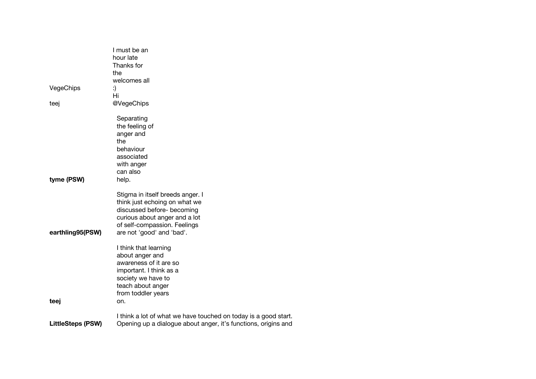|                          | I must be an<br>hour late                                                                                                                                                                     |
|--------------------------|-----------------------------------------------------------------------------------------------------------------------------------------------------------------------------------------------|
|                          | Thanks for<br>the                                                                                                                                                                             |
|                          | welcomes all                                                                                                                                                                                  |
| VegeChips                | :)<br>Hi                                                                                                                                                                                      |
| teej                     | @VegeChips                                                                                                                                                                                    |
|                          | Separating<br>the feeling of<br>anger and<br>the<br>behaviour<br>associated<br>with anger                                                                                                     |
|                          | can also                                                                                                                                                                                      |
| tyme (PSW)               | help.                                                                                                                                                                                         |
| earthling95(PSW)         | Stigma in itself breeds anger. I<br>think just echoing on what we<br>discussed before- becoming<br>curious about anger and a lot<br>of self-compassion. Feelings<br>are not 'good' and 'bad'. |
|                          | I think that learning<br>about anger and<br>awareness of it are so<br>important. I think as a<br>society we have to<br>teach about anger<br>from toddler years                                |
| teej                     | on.                                                                                                                                                                                           |
| <b>LittleSteps (PSW)</b> | I think a lot of what we have touched on today is a good start.<br>Opening up a dialogue about anger, it's functions, origins and                                                             |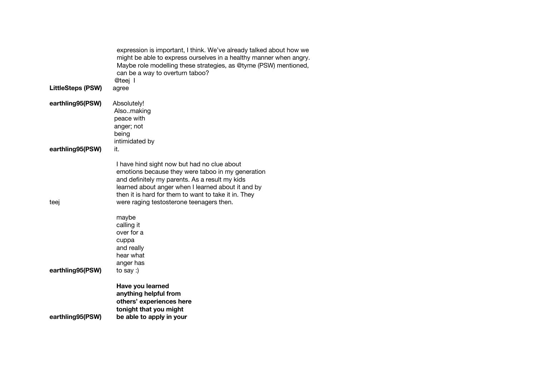| <b>LittleSteps (PSW)</b> | expression is important, I think. We've already talked about how we<br>might be able to express ourselves in a healthy manner when angry.<br>Maybe role modelling these strategies, as @tyme (PSW) mentioned,<br>can be a way to overturn taboo?<br>@teej l<br>agree                                                                |
|--------------------------|-------------------------------------------------------------------------------------------------------------------------------------------------------------------------------------------------------------------------------------------------------------------------------------------------------------------------------------|
|                          |                                                                                                                                                                                                                                                                                                                                     |
| earthling95(PSW)         | Absolutely!<br>Alsomaking<br>peace with<br>anger; not<br>being<br>intimidated by                                                                                                                                                                                                                                                    |
| earthling95(PSW)         | it.                                                                                                                                                                                                                                                                                                                                 |
| teej                     | I have hind sight now but had no clue about<br>emotions because they were taboo in my generation<br>and definitely my parents. As a result my kids<br>learned about anger when I learned about it and by<br>then it is hard for them to want to take it in. They<br>were raging testosterone teenagers then.<br>maybe<br>calling it |
| earthling95(PSW)         | over for a<br>cuppa<br>and really<br>hear what<br>anger has<br>to say :)                                                                                                                                                                                                                                                            |
| earthling95(PSW)         | Have you learned<br>anything helpful from<br>others' experiences here<br>tonight that you might<br>be able to apply in your                                                                                                                                                                                                         |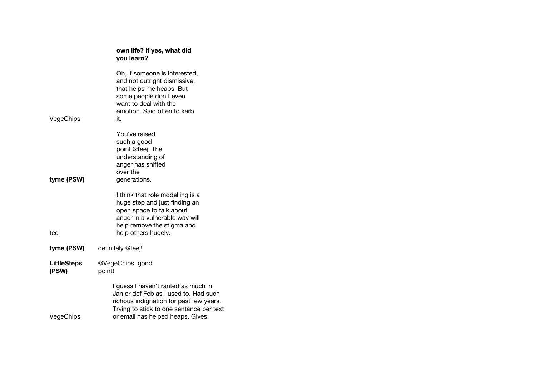|                             | own life? If yes, what did<br>you learn?                                                                                                                                                                |
|-----------------------------|---------------------------------------------------------------------------------------------------------------------------------------------------------------------------------------------------------|
| VegeChips                   | Oh, if someone is interested,<br>and not outright dismissive,<br>that helps me heaps. But<br>some people don't even<br>want to deal with the<br>emotion. Said often to kerb<br>it.                      |
| tyme (PSW)                  | You've raised<br>such a good<br>point @teej. The<br>understanding of<br>anger has shifted<br>over the<br>generations.                                                                                   |
| teej                        | I think that role modelling is a<br>huge step and just finding an<br>open space to talk about<br>anger in a vulnerable way will<br>help remove the stigma and<br>help others hugely.                    |
| tyme (PSW)                  | definitely @teej!                                                                                                                                                                                       |
| <b>LittleSteps</b><br>(PSW) | @VegeChips good<br>point!                                                                                                                                                                               |
| VegeChips                   | I guess I haven't ranted as much in<br>Jan or def Feb as I used to. Had such<br>richous indignation for past few years.<br>Trying to stick to one sentance per text<br>or email has helped heaps. Gives |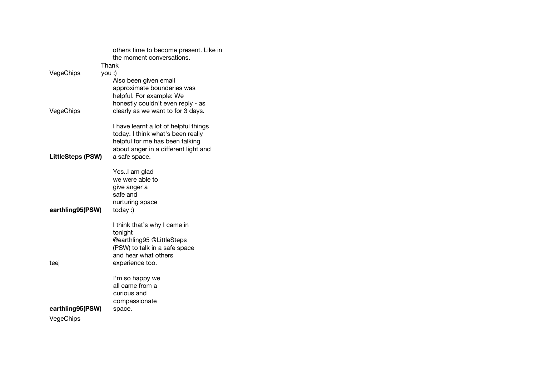|                          | others time to become present. Like in |
|--------------------------|----------------------------------------|
|                          | the moment conversations.              |
|                          | Thank                                  |
| VegeChips                | you :)                                 |
|                          | Also been given email                  |
|                          | approximate boundaries was             |
|                          | helpful. For example: We               |
|                          | honestly couldn't even reply - as      |
| VegeChips                | clearly as we want to for 3 days.      |
|                          | I have learnt a lot of helpful things  |
|                          | today. I think what's been really      |
|                          | helpful for me has been talking        |
|                          | about anger in a different light and   |
| <b>LittleSteps (PSW)</b> | a safe space.                          |
|                          |                                        |
|                          | YesI am glad                           |
|                          | we were able to                        |
|                          | give anger a                           |
|                          | safe and                               |
|                          | nurturing space                        |
| earthling95(PSW)         | $today:$ )                             |
|                          | I think that's why I came in           |
|                          | tonight                                |
|                          | @earthling95 @LittleSteps              |
|                          | (PSW) to talk in a safe space          |
|                          | and hear what others                   |
| teej                     | experience too.                        |
|                          | I'm so happy we                        |
|                          | all came from a                        |
|                          | curious and                            |
|                          | compassionate                          |
| earthling95(PSW)         | space.                                 |
| VegeChips                |                                        |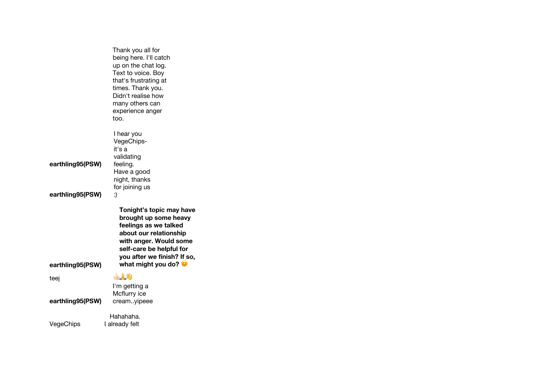|                                      | Thank you all for<br>being here. I'll catch<br>up on the chat log.<br>Text to voice. Boy<br>that's frustrating at<br>times. Thank you.<br>Didn't realise how<br>many others can<br>experience anger<br>too.                     |
|--------------------------------------|---------------------------------------------------------------------------------------------------------------------------------------------------------------------------------------------------------------------------------|
| earthling95(PSW)                     | I hear you<br>VegeChips-<br>it's a<br>validating<br>feeling.<br>Have a good<br>night, thanks<br>for joining us                                                                                                                  |
| earthling95(PSW)<br>earthling95(PSW) | :)<br>Tonight's topic may have<br>brought up some heavy<br>feelings as we talked<br>about our relationship<br>with anger. Would some<br>self-care be helpful for<br>you after we finish? If so,<br>what might you do? $\bullet$ |
| teej                                 | 上人心                                                                                                                                                                                                                             |
| earthling95(PSW)                     | I'm getting a<br>Mcflurry ice<br>creamyipeee                                                                                                                                                                                    |
| $\lambda$ /aaa $\cap$ hina           | Hahahaha.<br>المكبراه ومعاما                                                                                                                                                                                                    |

VegeChips

I already felt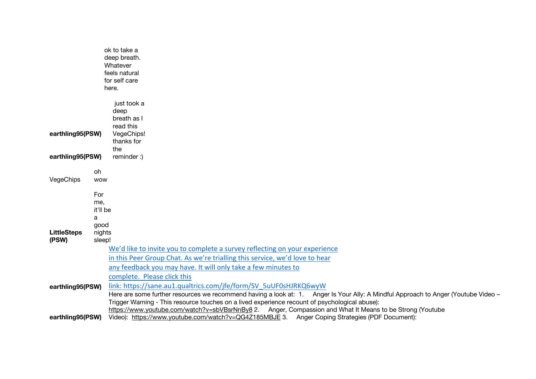|                             |                  | ok to take a                                                                                                                       |
|-----------------------------|------------------|------------------------------------------------------------------------------------------------------------------------------------|
|                             |                  | deep breath.                                                                                                                       |
|                             |                  | Whatever<br>feels natural                                                                                                          |
|                             |                  | for self care                                                                                                                      |
|                             |                  | here.                                                                                                                              |
|                             |                  |                                                                                                                                    |
|                             |                  | just took a<br>deep                                                                                                                |
|                             |                  | breath as I                                                                                                                        |
|                             |                  | read this                                                                                                                          |
| earthling95(PSW)            |                  | VegeChips!                                                                                                                         |
|                             |                  | thanks for                                                                                                                         |
|                             |                  | the                                                                                                                                |
| earthling95(PSW)            |                  | reminder:)                                                                                                                         |
|                             | oh.              |                                                                                                                                    |
| VegeChips                   | <b>WOW</b>       |                                                                                                                                    |
|                             | For              |                                                                                                                                    |
|                             | me,              |                                                                                                                                    |
|                             | it'll be         |                                                                                                                                    |
|                             | a                |                                                                                                                                    |
|                             | good             |                                                                                                                                    |
| <b>LittleSteps</b><br>(PSW) | nights<br>sleep! |                                                                                                                                    |
|                             |                  | We'd like to invite you to complete a survey reflecting on your experience                                                         |
|                             |                  | in this Peer Group Chat. As we're trialling this service, we'd love to hear                                                        |
|                             |                  | any feedback you may have. It will only take a few minutes to                                                                      |
|                             |                  | complete. Please click this                                                                                                        |
| earthling95(PSW)            |                  | link: https://sane.au1.qualtrics.com/jfe/form/SV 5uUF0sHJRKQ6wyW                                                                   |
|                             |                  | Here are some further resources we recommend having a look at: 1. Anger Is Your Ally: A Mindful Approach to Anger (Youtube Video - |
|                             |                  | Trigger Warning - This resource touches on a lived experience recount of psychological abuse):                                     |
|                             |                  | https://www.youtube.com/watch?v=sbVBsrNnBy8 2. Anger, Compassion and What It Means to be Strong (Youtube                           |
| earthling95(PSW)            |                  | Video): https://www.youtube.com/watch?v=QG4Z185MBJE 3. Anger Coping Strategies (PDF Document):                                     |